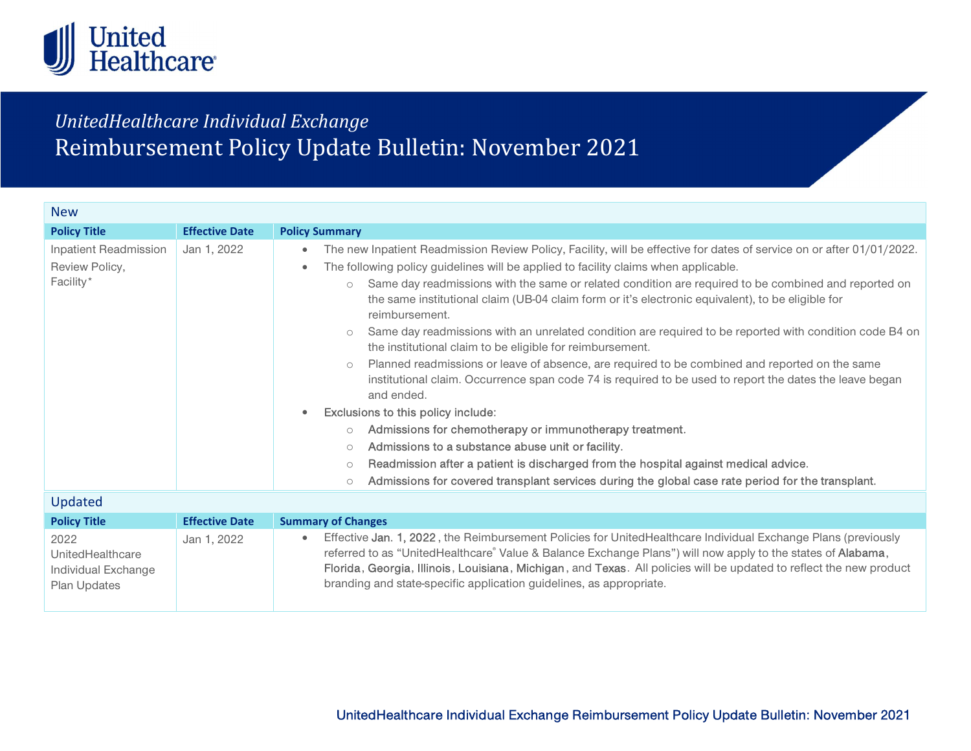

## UnitedHealthcare Individual Exchange Reimbursement Policy Update Bulletin: November 2021

| The new Inpatient Readmission Review Policy, Facility, will be effective for dates of service on or after 01/01/2022.<br>Same day readmissions with the same or related condition are required to be combined and reported on<br>Same day readmissions with an unrelated condition are required to be reported with condition code B4 on<br>institutional claim. Occurrence span code 74 is required to be used to report the dates the leave began |
|-----------------------------------------------------------------------------------------------------------------------------------------------------------------------------------------------------------------------------------------------------------------------------------------------------------------------------------------------------------------------------------------------------------------------------------------------------|
|                                                                                                                                                                                                                                                                                                                                                                                                                                                     |
|                                                                                                                                                                                                                                                                                                                                                                                                                                                     |
|                                                                                                                                                                                                                                                                                                                                                                                                                                                     |
|                                                                                                                                                                                                                                                                                                                                                                                                                                                     |
|                                                                                                                                                                                                                                                                                                                                                                                                                                                     |
| Planned readmissions or leave of absence, are required to be combined and reported on the same<br>Admissions for covered transplant services during the global case rate period for the transplant.                                                                                                                                                                                                                                                 |

| <b>Opdated</b>                                                  |                       |                                                                                                                                                                                                                                                                                                                                                                                                                            |  |
|-----------------------------------------------------------------|-----------------------|----------------------------------------------------------------------------------------------------------------------------------------------------------------------------------------------------------------------------------------------------------------------------------------------------------------------------------------------------------------------------------------------------------------------------|--|
| <b>Policy Title</b>                                             | <b>Effective Date</b> | <b>Summary of Changes</b>                                                                                                                                                                                                                                                                                                                                                                                                  |  |
| 2022<br>UnitedHealthcare<br>Individual Exchange<br>Plan Updates | Jan 1, 2022           | Effective Jan. 1, 2022, the Reimbursement Policies for UnitedHealthcare Individual Exchange Plans (previously<br>referred to as "UnitedHealthcare" Value & Balance Exchange Plans") will now apply to the states of Alabama,<br>Florida, Georgia, Illinois, Louisiana, Michigan, and Texas. All policies will be updated to reflect the new product<br>branding and state-specific application guidelines, as appropriate. |  |